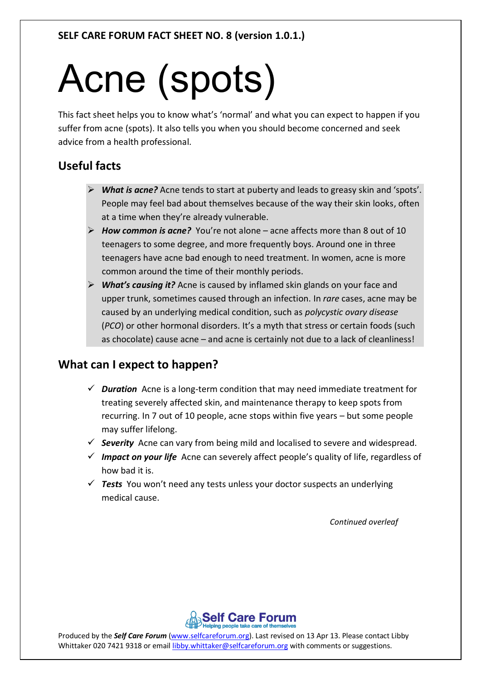# Acne (spots)

This fact sheet helps you to know what's 'normal' and what you can expect to happen if you suffer from acne (spots). It also tells you when you should become concerned and seek advice from a health professional.

# **Useful facts**

- *What is acne?* Acne tends to start at puberty and leads to greasy skin and 'spots'. People may feel bad about themselves because of the way their skin looks, often at a time when they're already vulnerable.
- *How common is acne?* You're not alone acne affects more than 8 out of 10 teenagers to some degree, and more frequently boys. Around one in three teenagers have acne bad enough to need treatment. In women, acne is more common around the time of their monthly periods.
- *What's causing it?* Acne is caused by inflamed skin glands on your face and upper trunk, sometimes caused through an infection. In *rare* cases, acne may be caused by an underlying medical condition, such as *polycystic ovary disease* (*PCO*) or other hormonal disorders. It's a myth that stress or certain foods (such as chocolate) cause acne – and acne is certainly not due to a lack of cleanliness!

# **What can I expect to happen?**

- *Duration* Acne is a long-term condition that may need immediate treatment for treating severely affected skin, and maintenance therapy to keep spots from recurring. In 7 out of 10 people, acne stops within five years – but some people may suffer lifelong.
- *Severity* Acne can vary from being mild and localised to severe and widespread.
- *Impact on your life* Acne can severely affect people's quality of life, regardless of how bad it is.
- *Tests* You won't need any tests unless your doctor suspects an underlying medical cause.

*Continued overleaf*



Produced by the *Self Care Forum* (www.selfcareforum.org). Last revised on 13 Apr 13. Please contact Libby Whittaker 020 7421 9318 or email libby.whittaker@selfcareforum.org with comments or suggestions.